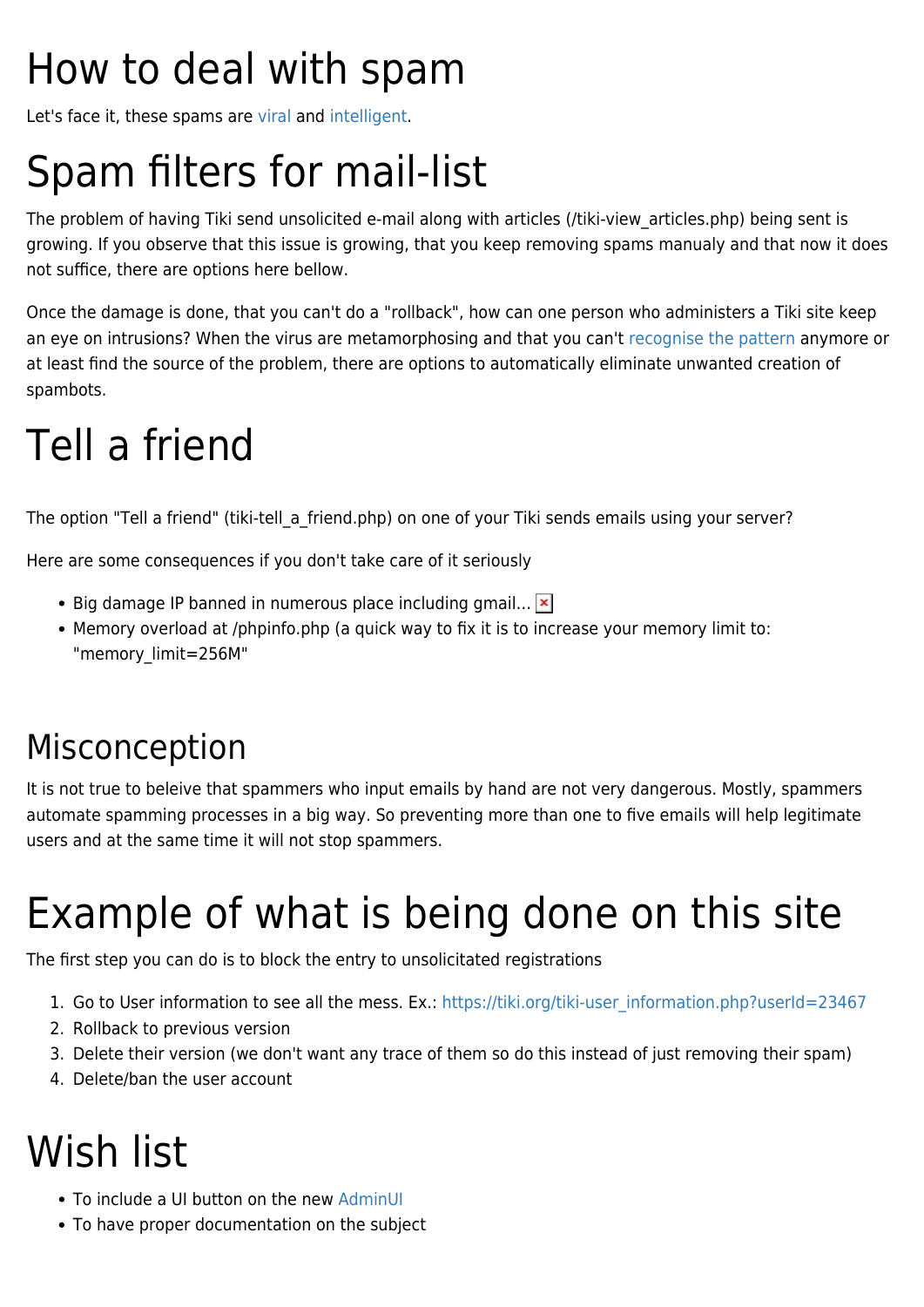## How to deal with spam

Let's face it, these spams are [viral](http://en.wikipedia.org/wiki/Polymorphic_virus) and [intelligent](http://en.wikipedia.org/wiki/Metamorphic_code).

## Spam filters for mail-list

The problem of having Tiki send unsolicited e-mail along with articles (/tiki-view\_articles.php) being sent is growing. If you observe that this issue is growing, that you keep removing spams manualy and that now it does not suffice, there are options here bellow.

Once the damage is done, that you can't do a "rollback", how can one person who administers a Tiki site keep an eye on intrusions? When the virus are metamorphosing and that you can't [recognise the pattern](http://en.wikipedia.org/wiki/Pattern_recognition) anymore or at least find the source of the problem, there are options to automatically eliminate unwanted creation of spambots.

#### Tell a friend

The option "Tell a friend" (tiki-tell a friend.php) on one of your Tiki sends emails using your server?

Here are some consequences if you don't take care of it seriously

- $\bullet$  Big damage IP banned in numerous place including gmail...  $\mathbf{X}$
- Memory overload at /phpinfo.php (a quick way to fix it is to increase your memory limit to: "memory\_limit=256M"

#### Misconception

It is not true to beleive that spammers who input emails by hand are not very dangerous. Mostly, spammers automate spamming processes in a big way. So preventing more than one to five emails will help legitimate users and at the same time it will not stop spammers.

# Example of what is being done on this site

The first step you can do is to block the entry to unsolicitated registrations

- 1. Go to User information to see all the mess. Ex.: [https://tiki.org/tiki-user\\_information.php?userId=23467](https://tiki.org/tiki-user_information.php?userId=23467)
- 2. Rollback to previous version
- 3. Delete their version (we don't want any trace of them so do this instead of just removing their spam)
- 4. Delete/ban the user account

#### Wish list

- To include a UI button on the new [AdminUI](https://dev.tiki.org/AdminUIRevamp20071210)
- To have proper documentation on the subject